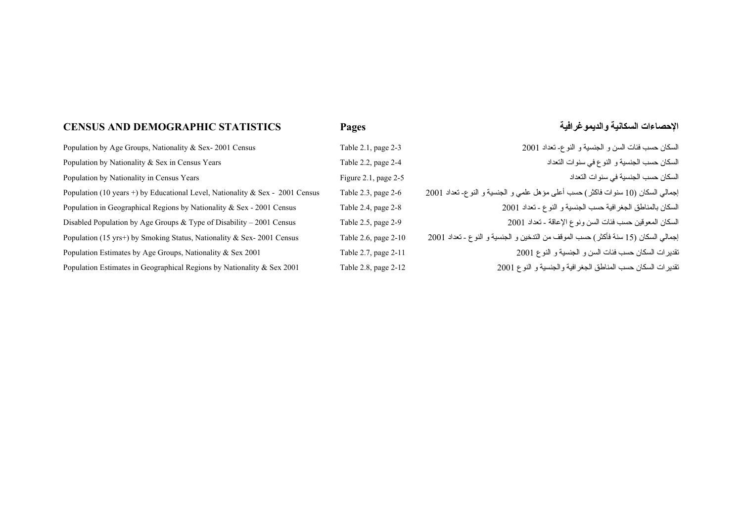## **CENSUS AND DEMOGRAPHIC STATISTICS**

## **Pages والديموغرافية السكانية الإحصاءات**

| Population by Age Groups, Nationality & Sex-2001 Census                       | Table 2.1, page 2-3  | السكان حسب فئات السن و الجنسية و النوع- تعداد 2001                                 |
|-------------------------------------------------------------------------------|----------------------|------------------------------------------------------------------------------------|
| Population by Nationality & Sex in Census Years                               | Table 2.2, page 2-4  | السكان حسب الجنسية و النوع في سنوات التعداد                                        |
| Population by Nationality in Census Years                                     | Figure 2.1, page 2-5 | السكان حسب الجنسية في سنوات النعداد                                                |
| Population (10 years +) by Educational Level, Nationality & Sex - 2001 Census | Table 2.3, page 2-6  | إجمالي السكان (10 سنوات فاكثر ) حسب أعلى مؤهل علمي و الجنسية و النوع- تعداد 2001   |
| Population in Geographical Regions by Nationality & Sex - 2001 Census         | Table 2.4, page 2-8  | السكان بالمناطق الجغر افية حسب الجنسية و النوع - تعداد 2001                        |
| Disabled Population by Age Groups & Type of Disability - 2001 Census          | Table 2.5, page 2-9  | السكان المعوقين حسب فئات السن ونوع الإعاقة ـ تعداد 2001                            |
| Population (15 yrs+) by Smoking Status, Nationality & Sex-2001 Census         | Table 2.6, page 2-10 | إجمالي السكان (15 سنة فأكثر ) حسب الموقف من الندخين و الجنسية و النوع ـ تعداد 2001 |
| Population Estimates by Age Groups, Nationality & Sex 2001                    | Table 2.7, page 2-11 | تقدير ات السكان حسب فئات السن و الجنسية و النوع 2001                               |
| Population Estimates in Geographical Regions by Nationality & Sex 2001        | Table 2.8, page 2-12 | تقدير ات السكان حسب المناطق الجغر افية والجنسية و النوع 2001                       |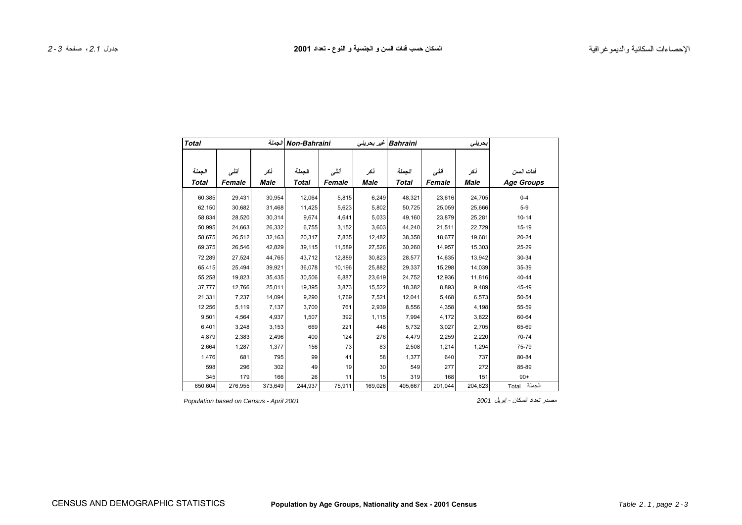<span id="page-2-0"></span>

| <b>Total</b>           |                |                     | Non-Bahraini الجملة    |                 |                    | Bahraini   غیر بحرینی  |                 | بحريفى             |                                |
|------------------------|----------------|---------------------|------------------------|-----------------|--------------------|------------------------|-----------------|--------------------|--------------------------------|
| الجملة<br><b>Total</b> | أنشى<br>Female | أنكر<br><b>Male</b> | الجملة<br><b>Total</b> | أننسى<br>Female | نكر<br><b>Male</b> | الجملة<br><b>Total</b> | أننسى<br>Female | نكر<br><b>Male</b> | فئات السن<br><b>Age Groups</b> |
| 60,385                 | 29,431         | 30,954              | 12,064                 | 5,815           | 6,249              | 48,321                 | 23,616          | 24,705             | $0 - 4$                        |
| 62,150                 | 30,682         | 31,468              | 11,425                 | 5,623           | 5,802              | 50,725                 | 25.059          | 25,666             | $5-9$                          |
| 58,834                 | 28,520         | 30,314              | 9,674                  | 4,641           | 5,033              | 49,160                 | 23,879          | 25,281             | $10 - 14$                      |
| 50,995                 | 24,663         | 26,332              | 6,755                  | 3,152           | 3,603              | 44,240                 | 21,511          | 22,729             | $15-19$                        |
| 58,675                 | 26,512         | 32,163              | 20,317                 | 7,835           | 12,482             | 38,358                 | 18,677          | 19,681             | $20 - 24$                      |
| 69,375                 | 26,546         | 42,829              | 39,115                 | 11,589          | 27,526             | 30,260                 | 14,957          | 15,303             | 25-29                          |
| 72,289                 | 27,524         | 44,765              | 43,712                 | 12,889          | 30,823             | 28,577                 | 14,635          | 13,942             | 30-34                          |
| 65,415                 | 25,494         | 39,921              | 36,078                 | 10,196          | 25,882             | 29,337                 | 15,298          | 14,039             | 35-39                          |
| 55,258                 | 19,823         | 35,435              | 30,506                 | 6,887           | 23,619             | 24,752                 | 12,936          | 11,816             | $40 - 44$                      |
| 37,777                 | 12,766         | 25,011              | 19,395                 | 3,873           | 15,522             | 18,382                 | 8,893           | 9,489              | 45-49                          |
| 21,331                 | 7,237          | 14,094              | 9,290                  | 1,769           | 7,521              | 12,041                 | 5,468           | 6,573              | 50-54                          |
| 12,256                 | 5,119          | 7,137               | 3,700                  | 761             | 2,939              | 8,556                  | 4,358           | 4,198              | 55-59                          |
| 9,501                  | 4,564          | 4,937               | 1,507                  | 392             | 1,115              | 7,994                  | 4,172           | 3,822              | 60-64                          |
| 6,401                  | 3,248          | 3,153               | 669                    | 221             | 448                | 5,732                  | 3,027           | 2,705              | 65-69                          |
| 4,879                  | 2,383          | 2,496               | 400                    | 124             | 276                | 4,479                  | 2,259           | 2,220              | 70-74                          |
| 2,664                  | 1,287          | 1,377               | 156                    | 73              | 83                 | 2,508                  | 1,214           | 1,294              | 75-79                          |
| 1,476                  | 681            | 795                 | 99                     | 41              | 58                 | 1,377                  | 640             | 737                | 80-84                          |
| 598                    | 296            | 302                 | 49                     | 19              | 30                 | 549                    | 277             | 272                | 85-89                          |
| 345                    | 179            | 166                 | 26                     | 11              | 15                 | 319                    | 168             | 151                | $90+$                          |
| 650,604                | 276,955        | 373,649             | 244,937                | 75,911          | 169,026            | 405,667                | 201,044         | 204,623            | الجملة<br>Total                |

*Population based on Census - April 2001 <sup>2001</sup>* إبريل - السكان تعداد مصدر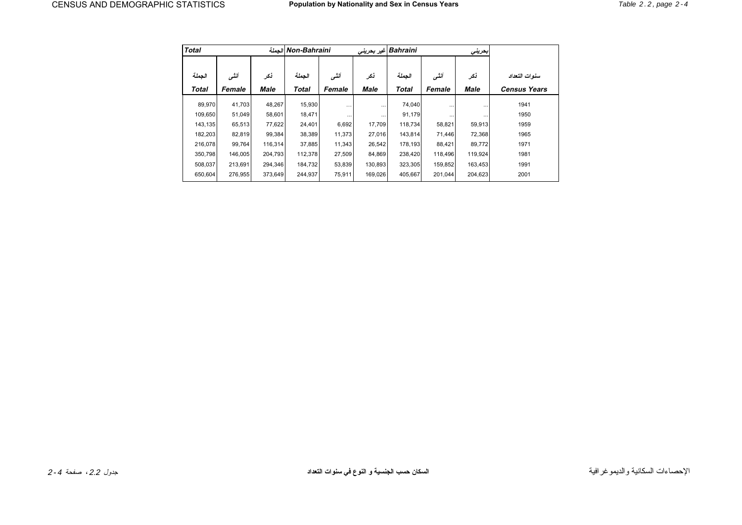<span id="page-3-0"></span>

| <b>Total</b>           |                 |             | الحملة Non-Bahraini    |                 |             | Bahraini  غير بحريني   |                 | بعرينى             |                                      |
|------------------------|-----------------|-------------|------------------------|-----------------|-------------|------------------------|-----------------|--------------------|--------------------------------------|
| الجملة<br><b>Total</b> | أننسى<br>Female | نكر<br>Male | الجملة<br><b>Total</b> | أننسى<br>Female | نكر<br>Male | الجملة<br><b>Total</b> | أننسى<br>Female | نكر<br><b>Male</b> | سنوات التعداد<br><b>Census Years</b> |
| 89,970                 | 41,703          | 48,267      | 15,930                 | $\cdots$        | $\cdots$    | 74,040                 | $\cdots$        |                    | 1941                                 |
| 109,650                | 51,049          | 58,601      | 18,471                 | $\cdots$        | $\cdots$    | 91,179                 | $\cdots$        | $\cdots$           | 1950                                 |
| 143,135                | 65,513          | 77,622      | 24,401                 | 6,692           | 17,709      | 118,734                | 58,821          | 59,913             | 1959                                 |
| 182,203                | 82,819          | 99,384      | 38,389                 | 11,373          | 27,016      | 143,814                | 71,446          | 72,368             | 1965                                 |
| 216,078                | 99,764          | 116,314     | 37,885                 | 11,343          | 26,542      | 178,193                | 88,421          | 89,772             | 1971                                 |
| 350,798                | 146,005         | 204.793     | 112,378                | 27,509          | 84,869      | 238,420                | 118.496         | 119,924            | 1981                                 |
| 508,037                | 213,691         | 294,346     | 184,732                | 53,839          | 130,893     | 323,305                | 159,852         | 163,453            | 1991                                 |
| 650,604                | 276,955         | 373,649     | 244,937                | 75,911          | 169,026     | 405,667                | 201.044         | 204,623            | 2001                                 |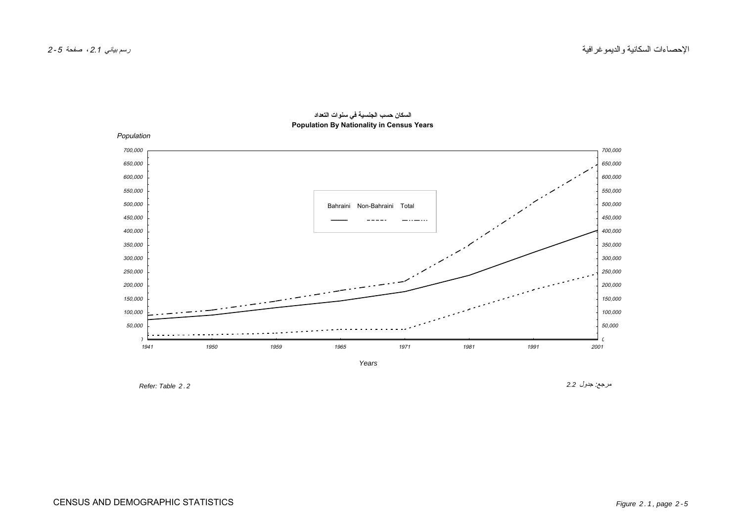<span id="page-4-0"></span>

**السكان حسب الجنسية في سنوات التعداد Population By Nationality in Census Years**

 $Refer: Table 2.2$ 

مرجع: جدول *2.2*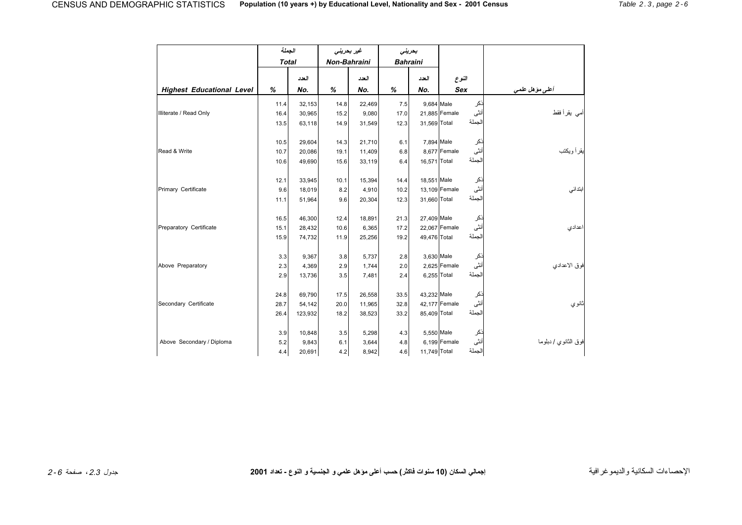<span id="page-5-0"></span>

|                                  | الجملة       |         | غیر بحرینی   |        | بحريني          |              |                |        |                      |
|----------------------------------|--------------|---------|--------------|--------|-----------------|--------------|----------------|--------|----------------------|
|                                  | <b>Total</b> |         | Non-Bahraini |        | <b>Bahraini</b> |              |                |        |                      |
|                                  |              | العدد   |              | العدد  |                 | العدد        | النوع          |        |                      |
| <b>Highest Educational Level</b> | %            | No.     | %            | No.    | %               | No.          | <b>Sex</b>     |        | أعلى مؤهل علمي       |
|                                  | 11.4         | 32.153  | 14.8         | 22,469 | 7.5             | 9.684 Male   |                | نكر    |                      |
| Illiterate / Read Only           | 16.4         | 30,965  | 15.2         | 9,080  | 17.0            |              | 21,885 Female  | أنثى   | أمي يقرأ فقط         |
|                                  | 13.5         | 63,118  | 14.9         | 31,549 | 12.3            | 31,569 Total |                | الجملة |                      |
|                                  |              |         |              |        |                 |              |                |        |                      |
|                                  | 10.5         | 29,604  | 14.3         | 21,710 | 6.1             | 7,894 Male   |                | ذكر    |                      |
| Read & Write                     | 10.7         | 20,086  | 19.1         | 11,409 | 6.8             |              | 8,677 Female   | أنثى   | يقرأ ويكتب           |
|                                  | 10.6         | 49,690  | 15.6         | 33,119 | 6.4             | 16,571 Total |                | الجملة |                      |
|                                  |              |         |              |        |                 |              |                |        |                      |
|                                  | 12.1         | 33,945  | 10.1         | 15,394 | 14.4            | 18,551 Male  |                | ذكر    |                      |
| Primary Certificate              | 9.6          | 18,019  | 8.2          | 4,910  | 10.2            |              | 13,109 Female  | أنثى   | ابتدائى              |
|                                  | 11.1         | 51,964  | 9.6          | 20,304 | 12.3            | 31,660 Total |                | الجملة |                      |
|                                  |              |         |              |        |                 |              |                |        |                      |
|                                  | 16.5         | 46,300  | 12.4         | 18,891 | 21.3            | 27,409 Male  |                | ذكر    |                      |
| Preparatory Certificate          | 15.1         | 28,432  | 10.6         | 6,365  | 17.2            |              | 22,067 Female  | أنثى   | اعدادى               |
|                                  | 15.9         | 74,732  | 11.9         | 25,256 | 19.2            | 49,476 Total |                | الجملة |                      |
|                                  | 3.3          | 9,367   | 3.8          | 5,737  | 2.8             | 3,630 Male   |                | نكر    |                      |
| Above Preparatory                | 2.3          | 4,369   | 2.9          | 1,744  | 2.0             |              | $2,625$ Female | أنثى   | فوق الاعدادي         |
|                                  |              |         |              |        |                 | 6,255 Total  |                | الجملة |                      |
|                                  | 2.9          | 13,736  | 3.5          | 7,481  | 2.4             |              |                |        |                      |
|                                  | 24.8         | 69,790  | 17.5         | 26,558 | 33.5            | 43,232 Male  |                | نكر    |                      |
| Secondary Certificate            | 28.7         | 54,142  | 20.0         | 11,965 | 32.8            |              | 42,177 Female  | أنثى   | اڻانو <i>ي</i>       |
|                                  | 26.4         | 123,932 | 18.2         | 38,523 | 33.2            | 85,409 Total |                | الجملة |                      |
|                                  |              |         |              |        |                 |              |                |        |                      |
|                                  | 3.9          | 10,848  | 3.5          | 5,298  | 4.3             | 5,550 Male   |                | ذكر    |                      |
| Above Secondary / Diploma        | 5.2          | 9,843   | 6.1          | 3,644  | 4.8             |              | $6,199$ Female | أنثى   | فوق الثانوي / دبلوما |
|                                  | 4.4          | 20,691  | 4.2          | 8,942  | 4.6             | 11,749 Total |                | الجملة |                      |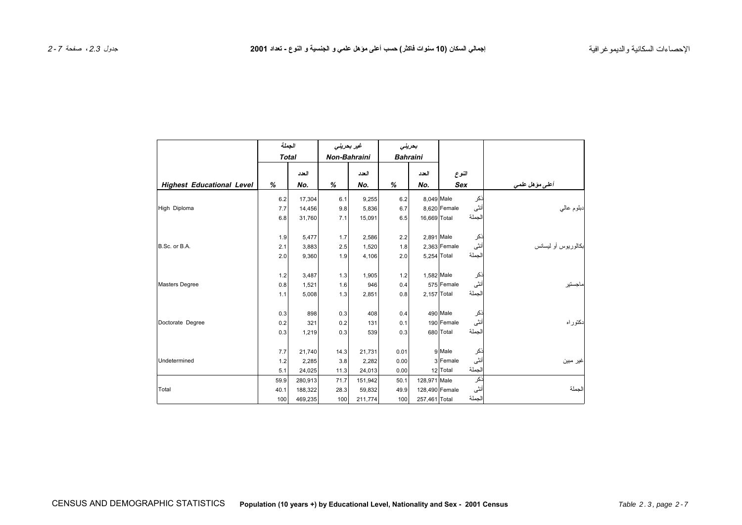|                                  | الجملة       |         | غير بحريني          |         | بحريني |                 |                |        |                     |
|----------------------------------|--------------|---------|---------------------|---------|--------|-----------------|----------------|--------|---------------------|
|                                  | <b>Total</b> |         | <b>Non-Bahraini</b> |         |        | <b>Bahraini</b> |                |        |                     |
|                                  |              | العدد   |                     | العدد   |        | العدد           | النوع          |        |                     |
| <b>Highest Educational Level</b> | %            | No.     | %                   | No.     | %      | No.             | <b>Sex</b>     |        | أعلى مؤهل علمى      |
|                                  | 6.2          | 17,304  | 6.1                 | 9,255   | 6.2    | 8,049 Male      |                | ذكر    |                     |
| High Diploma                     | 7.7          | 14,456  | 9.8                 | 5,836   | 6.7    |                 | 8,620 Female   | أنثى   | دبلوم عالمي         |
|                                  | 6.8          | 31,760  | 7.1                 | 15,091  | 6.5    | 16,669 Total    |                | الجملة |                     |
|                                  |              |         |                     |         |        |                 |                |        |                     |
|                                  | 1.9          | 5,477   | 1.7                 | 2,586   | 2.2    | 2,891 Male      |                | ذكر    |                     |
| B.Sc. or B.A.                    | 2.1          | 3,883   | 2.5                 | 1,520   | 1.8    |                 | $2,363$ Female | أنثى   | بكالوريوس أو ليسانس |
|                                  | 2.0          | 9,360   | 1.9                 | 4,106   | 2.0    | 5,254 Total     |                | الجملة |                     |
|                                  |              |         |                     |         |        |                 |                |        |                     |
|                                  | 1.2          | 3,487   | 1.3                 | 1,905   | 1.2    | 1,582 Male      |                | ذكر    |                     |
| <b>Masters Degree</b>            | 0.8          | 1,521   | 1.6                 | 946     | 0.4    |                 | 575 Female     | أنثى   | ماجستير             |
|                                  | 1.1          | 5,008   | 1.3                 | 2,851   | 0.8    | $2,157$ Total   |                | الجملة |                     |
|                                  |              |         |                     |         |        |                 |                |        |                     |
|                                  | 0.3          | 898     | 0.3                 | 408     | 0.4    |                 | 490 Male       | ذكر    |                     |
| Doctorate Degree                 | 0.2          | 321     | 0.2                 | 131     | 0.1    |                 | 190 Female     | أنثى   | لنكتوراه            |
|                                  | 0.3          | 1,219   | 0.3                 | 539     | 0.3    |                 | 680 Total      | الجملة |                     |
|                                  | 7.7          | 21,740  | 14.3                | 21,731  | 0.01   |                 | 9 Male         | نكر    |                     |
| Undetermined                     | 1.2          | 2,285   | 3.8                 | 2,282   | 0.00   |                 | 3 Female       | أنثى   | غير مبين            |
|                                  | 5.1          | 24,025  | 11.3                | 24,013  | 0.00   |                 | 12 Total       | الجملة |                     |
|                                  | 59.9         | 280,913 | 71.7                | 151,942 | 50.1   | 128,971 Male    |                | نكر    |                     |
| Total                            | 40.1         | 188,322 | 28.3                | 59,832  | 49.9   | 128,490 Female  |                | أنثى   | الجملة              |
|                                  | 100          | 469,235 | 100                 | 211,774 | 100    | 257,461 Total   |                | الجملة |                     |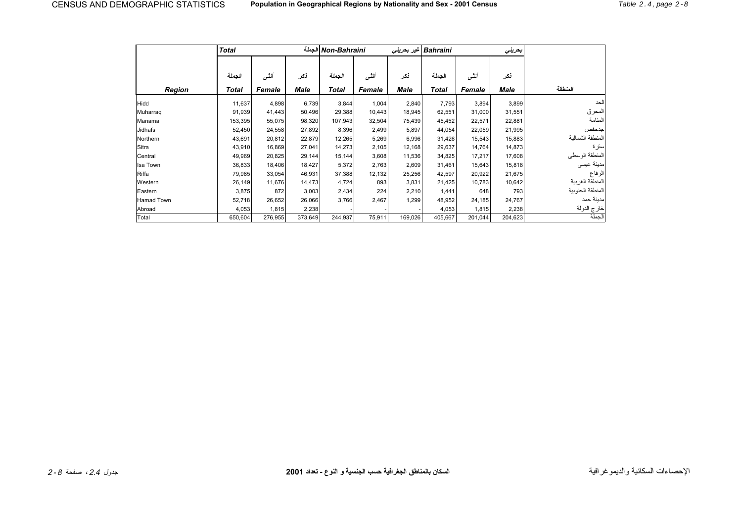<span id="page-7-0"></span>

|               | <b>Total</b> |         |         | Non-Bahraini الجملة |        |         | Bahraini   غير بحريني |         | بحريني  |                  |
|---------------|--------------|---------|---------|---------------------|--------|---------|-----------------------|---------|---------|------------------|
|               |              |         |         |                     |        |         |                       |         |         |                  |
|               | الجملة       | أننسى   | نكر     | الجملة              | أننسى  | نكر     | الجملة                | أننسى   | نكر     |                  |
| <b>Region</b> | Total        | Female  | Male    | <b>Total</b>        | Female | Male    | Total                 | Female  | Male    | المنطقة          |
| Hidd          | 11,637       | 4,898   | 6,739   | 3,844               | 1,004  | 2,840   | 7,793                 | 3,894   | 3,899   | الحد             |
| Muharraq      | 91,939       | 41,443  | 50,496  | 29,388              | 10,443 | 18,945  | 62,551                | 31,000  | 31,551  | المحرق           |
| Manama        | 153,395      | 55,075  | 98,320  | 107,943             | 32,504 | 75,439  | 45,452                | 22,571  | 22,881  | المنامة          |
| Jidhafs       | 52,450       | 24,558  | 27,892  | 8,396               | 2,499  | 5,897   | 44,054                | 22,059  | 21,995  | جدحفص            |
| Northern      | 43,691       | 20,812  | 22,879  | 12,265              | 5,269  | 6,996   | 31,426                | 15,543  | 15,883  | المنطقة الشمالية |
| Sitra         | 43,910       | 16,869  | 27,041  | 14,273              | 2,105  | 12,168  | 29,637                | 14,764  | 14,873  | سترة             |
| Central       | 49,969       | 20,825  | 29,144  | 15,144              | 3,608  | 11,536  | 34,825                | 17,217  | 17,608  | المنطقة الوسطى   |
| Isa Town      | 36,833       | 18,406  | 18,427  | 5,372               | 2,763  | 2,609   | 31,461                | 15,643  | 15,818  | مدينة عيسى       |
| Riffa         | 79,985       | 33,054  | 46,931  | 37,388              | 12,132 | 25,256  | 42,597                | 20,922  | 21,675  | الرفاع           |
| Western       | 26,149       | 11,676  | 14,473  | 4,724               | 893    | 3,831   | 21,425                | 10,783  | 10,642  | المنطقة الغربية  |
| Eastern       | 3,875        | 872     | 3,003   | 2,434               | 224    | 2,210   | 1,441                 | 648     | 793     | المنطقة الجنوبية |
| Hamad Town    | 52,718       | 26,652  | 26,066  | 3,766               | 2,467  | 1,299   | 48,952                | 24,185  | 24,767  | مدبنة حمد        |
| Abroad        | 4,053        | 1,815   | 2,238   |                     |        |         | 4,053                 | 1,815   | 2,238   | خارج الدولة      |
| Total         | 650,604      | 276,955 | 373,649 | 244,937             | 75,911 | 169,026 | 405,667               | 201,044 | 204,623 | الجملة           |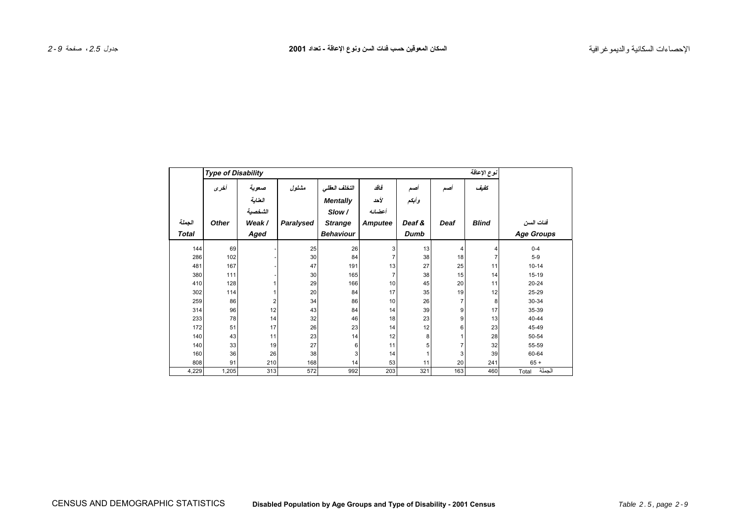┓

<span id="page-8-0"></span> $\Gamma$ 

|              | <b>Type of Disability</b> |         |           |                  |         |        |      | نوع الإعاقة    |                   |
|--------------|---------------------------|---------|-----------|------------------|---------|--------|------|----------------|-------------------|
|              | أخرى                      | صعوبة   | مشلول     | التخلف العقلى    | فاقد    | اصد    | اصد  | كفيف           |                   |
|              |                           | العناية |           | <b>Mentally</b>  | لأحد    | وأبكم  |      |                |                   |
|              |                           | الشخصية |           | Slow/            | أعضائه  |        |      |                |                   |
| الجملة       | <b>Other</b>              | Weak/   | Paralysed | <b>Strange</b>   | Amputee | Deaf & | Deaf | <b>Blind</b>   | فنات السن         |
| <b>Total</b> |                           | Aged    |           | <b>Behaviour</b> |         | Dumb   |      |                | <b>Age Groups</b> |
| 144          | 69                        |         | 25        | 26               | 3       | 13     | 4    | 4              | $0 - 4$           |
| 286          | 102                       |         | 30        | 84               |         | 38     | 18   | $\overline{7}$ | $5 - 9$           |
| 481          | 167                       |         | 47        | 191              | 13      | 27     | 25   | 11             | $10 - 14$         |
| 380          | 111                       |         | 30        | 165              |         | 38     | 15   | 14             | 15-19             |
| 410          | 128                       |         | 29        | 166              | 10      | 45     | 20   | 11             | $20 - 24$         |
| 302          | 114                       |         | 20        | 84               | 17      | 35     | 19   | 12             | 25-29             |
| 259          | 86                        | 2       | 34        | 86               | 10      | 26     | 7    | 8              | 30-34             |
| 314          | 96                        | 12      | 43        | 84               | 14      | 39     | 9    | 17             | 35-39             |
| 233          | 78                        | 14      | 32        | 46               | 18      | 23     | 9    | 13             | 40-44             |
| 172          | 51                        | 17      | 26        | 23               | 14      | 12     | 6    | 23             | 45-49             |
| 140          | 43                        | 11      | 23        | 14               | 12      | 8      |      | 28             | 50-54             |
| 140          | 33                        | 19      | 27        | 6                | 11      | 5      |      | 32             | 55-59             |
| 160          | 36                        | 26      | 38        | 3                | 14      |        | 3    | 39             | 60-64             |
| 808          | 91                        | 210     | 168       | 14               | 53      | 11     | 20   | 241            | $65 +$            |
| 4,229        | 1,205                     | 313     | 572       | 992              | 203     | 321    | 163  | 460            | الجملة<br>Total   |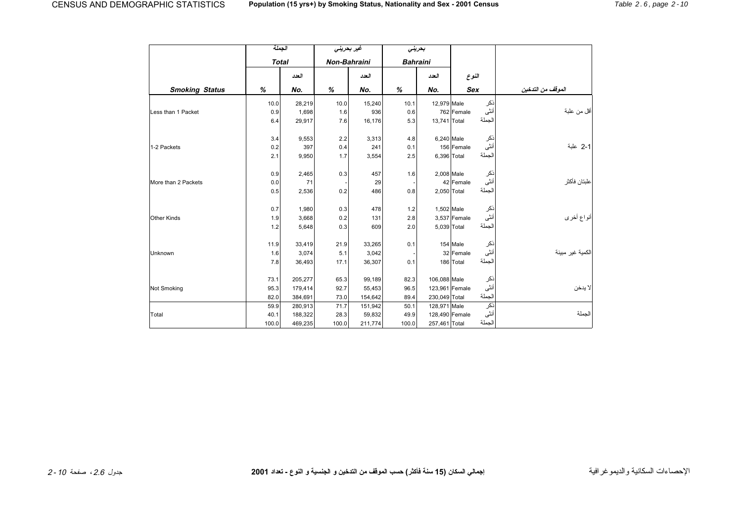<span id="page-9-0"></span>

|                       | الجملة       |         | غير بمرين <i>ي</i>  |         |                 | بمرينى        |                        |                   |
|-----------------------|--------------|---------|---------------------|---------|-----------------|---------------|------------------------|-------------------|
|                       | <b>Total</b> |         | <b>Non-Bahraini</b> |         | <b>Bahraini</b> |               |                        |                   |
|                       |              | العدد   |                     | العدد   |                 | العدد         | النوع                  |                   |
| <b>Smoking Status</b> | %            | No.     | %                   | No.     | %               | No.           | <b>Sex</b>             | الموقف من التدخين |
|                       | 10.0         | 28,219  | 10.0                | 15,240  | 10.1            | 12,979 Male   | نكر                    |                   |
| Less than 1 Packet    | 0.9          | 1,698   | 1.6                 | 936     | 0.6             |               | أنثى<br>762 Female     | أقل من علبة       |
|                       | 6.4          | 29,917  | 7.6                 | 16,176  | 5.3             | 13,741 Total  | الجملة                 |                   |
|                       | 3.4          | 9,553   | 2.2                 | 3,313   | 4.8             |               | نكر<br>6,240 Male      |                   |
| 1-2 Packets           | 0.2          | 397     | 0.4                 | 241     | 0.1             |               | أنثى<br>156 Female     | 2-1 علبة          |
|                       | 2.1          | 9,950   | 1.7                 | 3,554   | 2.5             |               | الجملة<br>6,396 Total  |                   |
|                       | 0.9          | 2,465   | 0.3                 | 457     | 1.6             |               | 2,008 Male<br>نكر      |                   |
| More than 2 Packets   | 0.0          | 71      |                     | 29      |                 |               | أنثى<br>42 Female      | علبتان فأكثر      |
|                       | 0.5          | 2,536   | 0.2                 | 486     | 0.8             |               | الجملة<br>2,050 Total  |                   |
|                       | 0.7          | 1,980   | 0.3                 | 478     | 1.2             |               | ذكر<br>1,502 Male      |                   |
| <b>Other Kinds</b>    | 1.9          | 3,668   | 0.2                 | 131     | 2.8             |               | أنثى<br>3,537 Female   | أنواع أخرى        |
|                       | 1.2          | 5,648   | 0.3                 | 609     | 2.0             |               | الجملة<br>5,039 Total  |                   |
|                       | 11.9         | 33,419  | 21.9                | 33,265  | 0.1             |               | 154 Male<br>ذكر        |                   |
| Unknown               | 1.6          | 3,074   | 5.1                 | 3,042   |                 |               | أنثى<br>32 Female      | لكمية غير مبينة   |
|                       | 7.8          | 36,493  | 17.1                | 36,307  | 0.1             |               | الجملة<br>186 Total    |                   |
|                       | 73.1         | 205,277 | 65.3                | 99,189  | 82.3            | 106,088 Male  | ذكر                    |                   |
| Not Smoking           | 95.3         | 179,414 | 92.7                | 55,453  | 96.5            |               | أنثى<br>123,961 Female | لا يدخن           |
|                       | 82.0         | 384,691 | 73.0                | 154,642 | 89.4            | 230,049 Total | الجملة                 |                   |
|                       | 59.9         | 280,913 | 71.7                | 151,942 | 50.1            | 128,971 Male  | نكر                    |                   |
| Total                 | 40.1         | 188,322 | 28.3                | 59,832  | 49.9            |               | أنثى<br>128,490 Female | الجملة            |
|                       | 100.0        | 469,235 | 100.0               | 211,774 | 100.0           | 257,461 Total | الجملة                 |                   |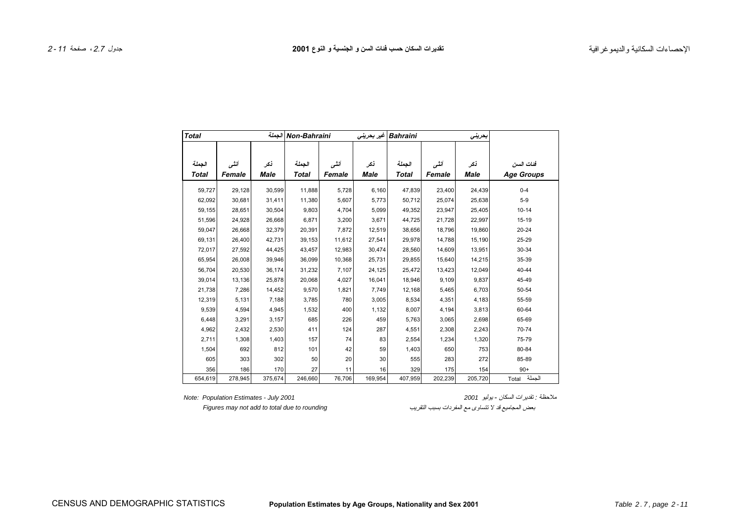<span id="page-10-0"></span>

| <b>Total</b> |         | الجملة  | Non-Bahraini |        |         | Bahraini غير بحريني |         | بعرينى  |                   |
|--------------|---------|---------|--------------|--------|---------|---------------------|---------|---------|-------------------|
|              |         |         |              |        |         |                     |         |         |                   |
| الجملة       | أنشى    | نكر     | الجملة       | أنشى   | نكر     | الجملة              | أنشى    | نكر     | فئات السن         |
| <b>Total</b> | Female  | Male    | Total        | Female | Male    | <b>Total</b>        | Female  | Male    | <b>Age Groups</b> |
| 59,727       | 29,128  | 30,599  | 11,888       | 5,728  | 6,160   | 47,839              | 23,400  | 24,439  | $0 - 4$           |
| 62,092       | 30,681  | 31,411  | 11,380       | 5,607  | 5,773   | 50,712              | 25,074  | 25,638  | $5-9$             |
| 59,155       | 28,651  | 30,504  | 9,803        | 4,704  | 5,099   | 49,352              | 23,947  | 25,405  | $10 - 14$         |
| 51,596       | 24,928  | 26,668  | 6,871        | 3,200  | 3,671   | 44,725              | 21,728  | 22,997  | 15-19             |
| 59,047       | 26,668  | 32,379  | 20,391       | 7,872  | 12,519  | 38,656              | 18,796  | 19,860  | $20 - 24$         |
| 69,131       | 26,400  | 42,731  | 39,153       | 11,612 | 27,541  | 29,978              | 14,788  | 15,190  | 25-29             |
| 72,017       | 27,592  | 44,425  | 43,457       | 12,983 | 30,474  | 28,560              | 14,609  | 13,951  | 30-34             |
| 65,954       | 26,008  | 39,946  | 36,099       | 10,368 | 25,731  | 29,855              | 15,640  | 14,215  | 35-39             |
| 56,704       | 20,530  | 36,174  | 31,232       | 7,107  | 24,125  | 25,472              | 13,423  | 12,049  | $40 - 44$         |
| 39,014       | 13,136  | 25,878  | 20,068       | 4,027  | 16,041  | 18,946              | 9,109   | 9,837   | 45-49             |
| 21,738       | 7,286   | 14,452  | 9,570        | 1,821  | 7,749   | 12,168              | 5,465   | 6,703   | 50-54             |
| 12,319       | 5,131   | 7,188   | 3,785        | 780    | 3,005   | 8,534               | 4,351   | 4,183   | 55-59             |
| 9,539        | 4,594   | 4,945   | 1,532        | 400    | 1,132   | 8,007               | 4,194   | 3,813   | 60-64             |
| 6,448        | 3,291   | 3,157   | 685          | 226    | 459     | 5,763               | 3,065   | 2,698   | 65-69             |
| 4,962        | 2,432   | 2,530   | 411          | 124    | 287     | 4,551               | 2,308   | 2,243   | 70-74             |
| 2,711        | 1,308   | 1,403   | 157          | 74     | 83      | 2,554               | 1,234   | 1,320   | 75-79             |
| 1,504        | 692     | 812     | 101          | 42     | 59      | 1,403               | 650     | 753     | 80-84             |
| 605          | 303     | 302     | 50           | 20     | 30      | 555                 | 283     | 272     | 85-89             |
| 356          | 186     | 170     | 27           | 11     | 16      | 329                 | 175     | 154     | $90+$             |
| 654,619      | 278,945 | 375,674 | 246,660      | 76,706 | 169,954 | 407,959             | 202,239 | 205,720 | الجملة<br>Total   |

ملاحظة : تقديرات السكان - يوليو *<sup>2001</sup> 2001 July - Estimates Population :Note*

بعض المجاميع قد لا تتساوى مع المفردات بسبب التقريب *rounding to due total to add not may Figures*